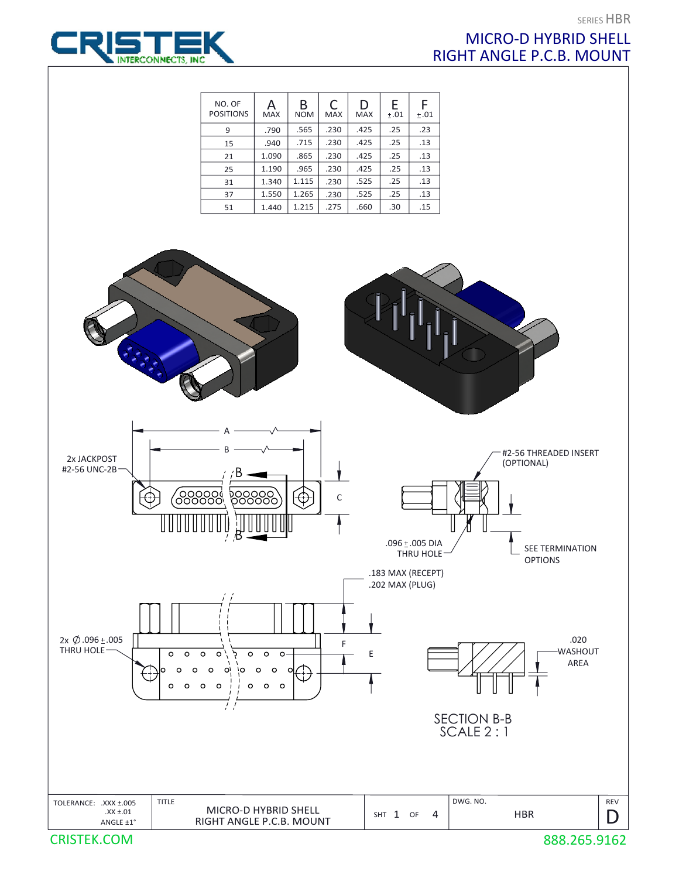

## SERIES HBR MICRO-D HYBRID SHELL RIGHT ANGLE P.C.B. MOUNT

| NO. OF<br><b>POSITIONS</b> | А<br><b>MAX</b> | B<br><b>NOM</b> | C<br><b>MAX</b> | D<br><b>MAX</b> | E<br>±.01 | F<br>±.01 |
|----------------------------|-----------------|-----------------|-----------------|-----------------|-----------|-----------|
| 9                          | .790            | .565            | .230            | .425            | .25       | .23       |
| 15                         | .940            | .715            | .230            | .425            | .25       | .13       |
| 21                         | 1.090           | .865            | .230            | .425            | .25       | .13       |
| 25                         | 1.190           | .965            | .230            | .425            | .25       | .13       |
| 31                         | 1.340           | 1.115           | .230            | .525            | .25       | .13       |
| 37                         | 1.550           | 1.265           | .230            | .525            | .25       | .13       |
| 51                         | 1.440           | 1.215           | .275            | .660            | .30       | .15       |



CRISTEK.COM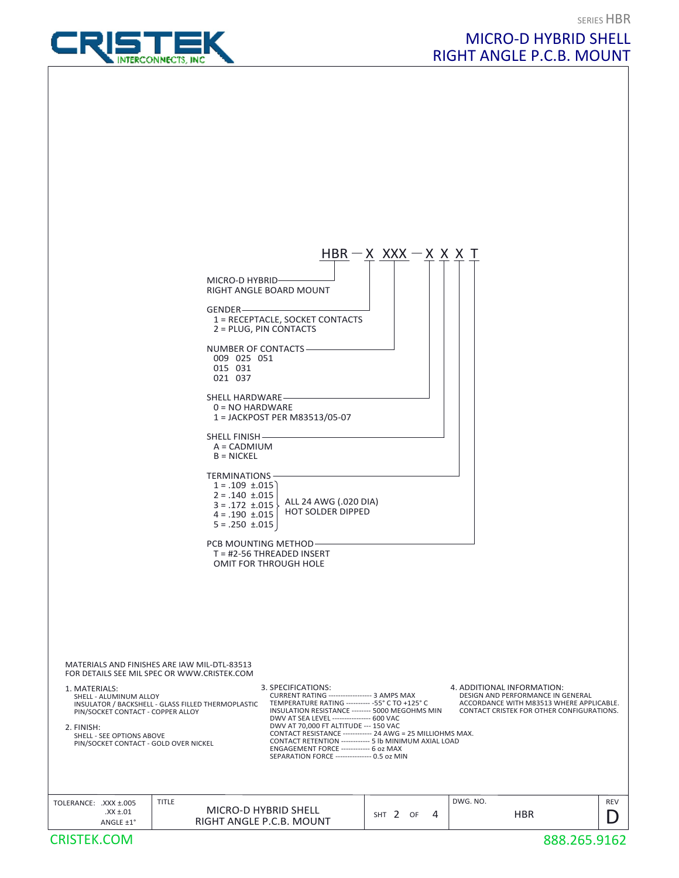



MICRO-D HYBRID SHELL

RIGHT ANGLE P.C.B. MOUNT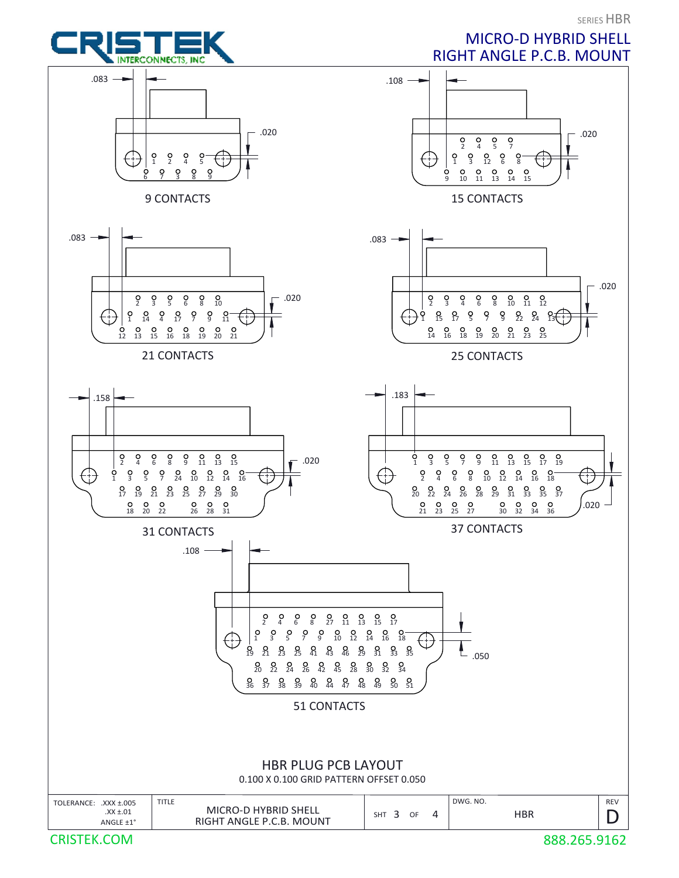